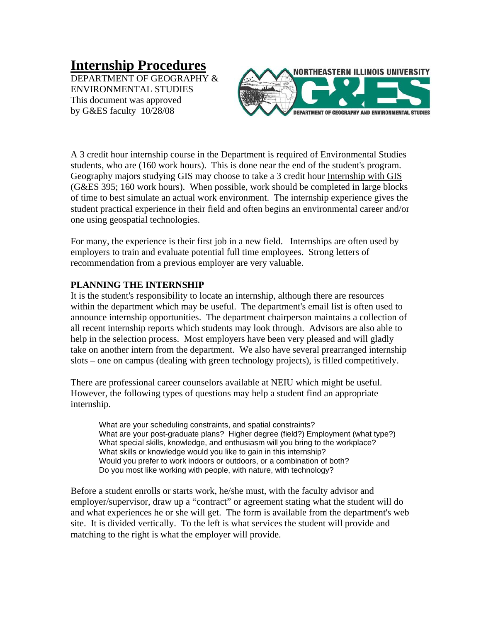# **Internship Procedures**

DEPARTMENT OF GEOGRAPHY & ENVIRONMENTAL STUDIES This document was approved by G&ES faculty 10/28/08



A 3 credit hour internship course in the Department is required of Environmental Studies students, who are (160 work hours). This is done near the end of the student's program. Geography majors studying GIS may choose to take a 3 credit hour Internship with GIS (G&ES 395; 160 work hours). When possible, work should be completed in large blocks of time to best simulate an actual work environment. The internship experience gives the student practical experience in their field and often begins an environmental career and/or one using geospatial technologies.

For many, the experience is their first job in a new field. Internships are often used by employers to train and evaluate potential full time employees. Strong letters of recommendation from a previous employer are very valuable.

### **PLANNING THE INTERNSHIP**

It is the student's responsibility to locate an internship, although there are resources within the department which may be useful. The department's email list is often used to announce internship opportunities. The department chairperson maintains a collection of all recent internship reports which students may look through. Advisors are also able to help in the selection process. Most employers have been very pleased and will gladly take on another intern from the department. We also have several prearranged internship slots – one on campus (dealing with green technology projects), is filled competitively.

There are professional career counselors available at NEIU which might be useful. However, the following types of questions may help a student find an appropriate internship.

What are your scheduling constraints, and spatial constraints? What are your post-graduate plans? Higher degree (field?) Employment (what type?) What special skills, knowledge, and enthusiasm will you bring to the workplace? What skills or knowledge would you like to gain in this internship? Would you prefer to work indoors or outdoors, or a combination of both? Do you most like working with people, with nature, with technology?

Before a student enrolls or starts work, he/she must, with the faculty advisor and employer/supervisor, draw up a "contract" or agreement stating what the student will do and what experiences he or she will get. The form is available from the department's web site. It is divided vertically. To the left is what services the student will provide and matching to the right is what the employer will provide.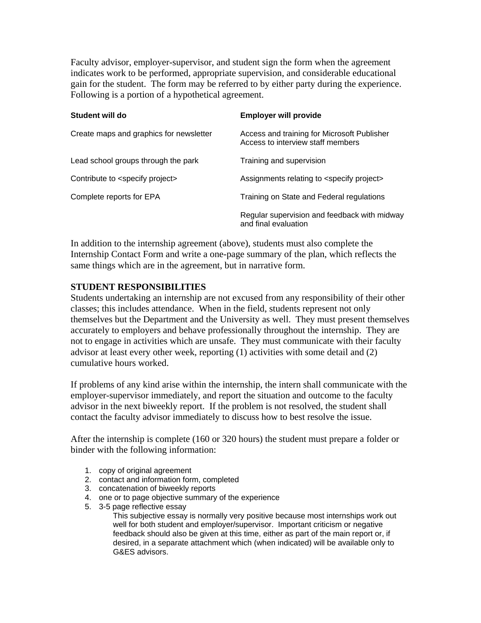Faculty advisor, employer-supervisor, and student sign the form when the agreement indicates work to be performed, appropriate supervision, and considerable educational gain for the student. The form may be referred to by either party during the experience. Following is a portion of a hypothetical agreement.

| Student will do                              | <b>Employer will provide</b>                                                     |
|----------------------------------------------|----------------------------------------------------------------------------------|
| Create maps and graphics for newsletter      | Access and training for Microsoft Publisher<br>Access to interview staff members |
| Lead school groups through the park          | Training and supervision                                                         |
| Contribute to <specify project=""></specify> | Assignments relating to <specify project=""></specify>                           |
| Complete reports for EPA                     | Training on State and Federal regulations                                        |
|                                              | Regular supervision and feedback with midway<br>and final evaluation             |

In addition to the internship agreement (above), students must also complete the Internship Contact Form and write a one-page summary of the plan, which reflects the same things which are in the agreement, but in narrative form.

#### **STUDENT RESPONSIBILITIES**

Students undertaking an internship are not excused from any responsibility of their other classes; this includes attendance. When in the field, students represent not only themselves but the Department and the University as well. They must present themselves accurately to employers and behave professionally throughout the internship. They are not to engage in activities which are unsafe. They must communicate with their faculty advisor at least every other week, reporting (1) activities with some detail and (2) cumulative hours worked.

If problems of any kind arise within the internship, the intern shall communicate with the employer-supervisor immediately, and report the situation and outcome to the faculty advisor in the next biweekly report. If the problem is not resolved, the student shall contact the faculty advisor immediately to discuss how to best resolve the issue.

After the internship is complete (160 or 320 hours) the student must prepare a folder or binder with the following information:

- 1. copy of original agreement
- 2. contact and information form, completed
- 3. concatenation of biweekly reports
- 4. one or to page objective summary of the experience
- 5. 3-5 page reflective essay

This subjective essay is normally very positive because most internships work out well for both student and employer/supervisor. Important criticism or negative feedback should also be given at this time, either as part of the main report or, if desired, in a separate attachment which (when indicated) will be available only to G&ES advisors.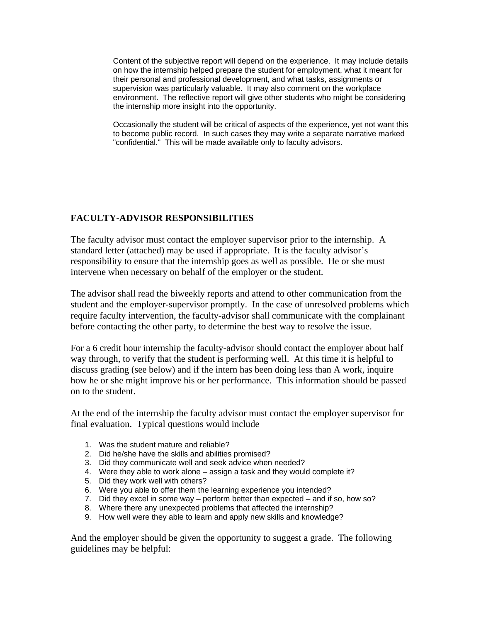Content of the subjective report will depend on the experience. It may include details on how the internship helped prepare the student for employment, what it meant for their personal and professional development, and what tasks, assignments or supervision was particularly valuable. It may also comment on the workplace environment. The reflective report will give other students who might be considering the internship more insight into the opportunity.

Occasionally the student will be critical of aspects of the experience, yet not want this to become public record. In such cases they may write a separate narrative marked "confidential." This will be made available only to faculty advisors.

## **FACULTY-ADVISOR RESPONSIBILITIES**

The faculty advisor must contact the employer supervisor prior to the internship. A standard letter (attached) may be used if appropriate. It is the faculty advisor's responsibility to ensure that the internship goes as well as possible. He or she must intervene when necessary on behalf of the employer or the student.

The advisor shall read the biweekly reports and attend to other communication from the student and the employer-supervisor promptly. In the case of unresolved problems which require faculty intervention, the faculty-advisor shall communicate with the complainant before contacting the other party, to determine the best way to resolve the issue.

For a 6 credit hour internship the faculty-advisor should contact the employer about half way through, to verify that the student is performing well. At this time it is helpful to discuss grading (see below) and if the intern has been doing less than A work, inquire how he or she might improve his or her performance. This information should be passed on to the student.

At the end of the internship the faculty advisor must contact the employer supervisor for final evaluation. Typical questions would include

- 1. Was the student mature and reliable?
- 2. Did he/she have the skills and abilities promised?
- 3. Did they communicate well and seek advice when needed?
- 4. Were they able to work alone assign a task and they would complete it?
- 5. Did they work well with others?
- 6. Were you able to offer them the learning experience you intended?
- 7. Did they excel in some way perform better than expected and if so, how so?
- 8. Where there any unexpected problems that affected the internship?
- 9. How well were they able to learn and apply new skills and knowledge?

And the employer should be given the opportunity to suggest a grade. The following guidelines may be helpful: